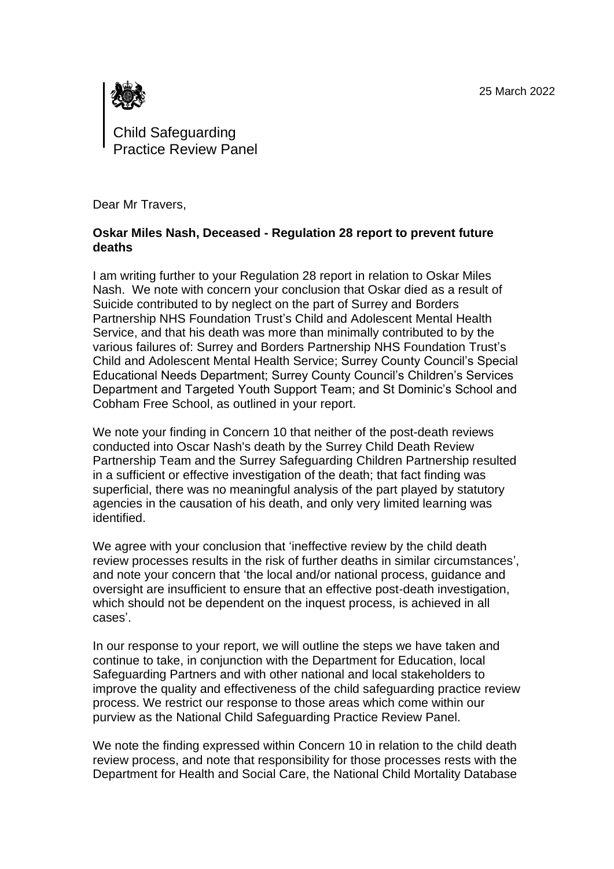

Dear Mr Travers,

## **Oskar Miles Nash, Deceased - Regulation 28 report to prevent future deaths**

I am writing further to your Regulation 28 report in relation to Oskar Miles Nash. We note with concern your conclusion that Oskar died as a result of Suicide contributed to by neglect on the part of Surrey and Borders Partnership NHS Foundation Trust's Child and Adolescent Mental Health Service, and that his death was more than minimally contributed to by the various failures of: Surrey and Borders Partnership NHS Foundation Trust's Child and Adolescent Mental Health Service; Surrey County Council's Special Educational Needs Department; Surrey County Council's Children's Services Department and Targeted Youth Support Team; and St Dominic's School and Cobham Free School, as outlined in your report.

We note your finding in Concern 10 that neither of the post-death reviews conducted into Oscar Nash's death by the Surrey Child Death Review Partnership Team and the Surrey Safeguarding Children Partnership resulted in a sufficient or effective investigation of the death; that fact finding was superficial, there was no meaningful analysis of the part played by statutory agencies in the causation of his death, and only very limited learning was identified.

We agree with your conclusion that 'ineffective review by the child death review processes results in the risk of further deaths in similar circumstances', and note your concern that 'the local and/or national process, guidance and oversight are insufficient to ensure that an effective post-death investigation, which should not be dependent on the inquest process, is achieved in all cases'.

In our response to your report, we will outline the steps we have taken and continue to take, in conjunction with the Department for Education, local Safeguarding Partners and with other national and local stakeholders to improve the quality and effectiveness of the child safeguarding practice review process. We restrict our response to those areas which come within our purview as the National Child Safeguarding Practice Review Panel.

We note the finding expressed within Concern 10 in relation to the child death review process, and note that responsibility for those processes rests with the Department for Health and Social Care, the National Child Mortality Database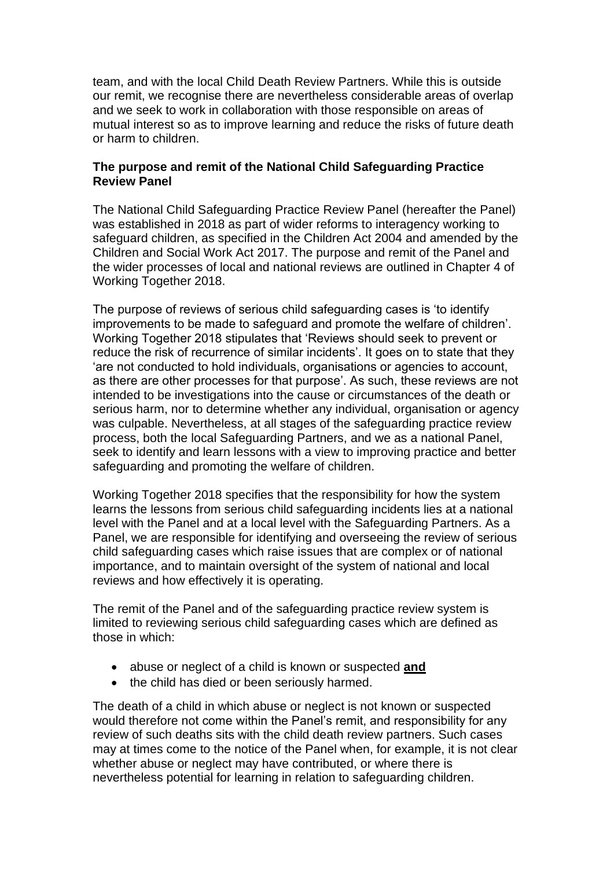team, and with the local Child Death Review Partners. While this is outside our remit, we recognise there are nevertheless considerable areas of overlap and we seek to work in collaboration with those responsible on areas of mutual interest so as to improve learning and reduce the risks of future death or harm to children.

### **The purpose and remit of the National Child Safeguarding Practice Review Panel**

The National Child Safeguarding Practice Review Panel (hereafter the Panel) was established in 2018 as part of wider reforms to interagency working to safeguard children, as specified in the Children Act 2004 and amended by the Children and Social Work Act 2017. The purpose and remit of the Panel and the wider processes of local and national reviews are outlined in Chapter 4 of Working Together 2018.

The purpose of reviews of serious child safeguarding cases is 'to identify improvements to be made to safeguard and promote the welfare of children'. Working Together 2018 stipulates that 'Reviews should seek to prevent or reduce the risk of recurrence of similar incidents'. It goes on to state that they 'are not conducted to hold individuals, organisations or agencies to account, as there are other processes for that purpose'. As such, these reviews are not intended to be investigations into the cause or circumstances of the death or serious harm, nor to determine whether any individual, organisation or agency was culpable. Nevertheless, at all stages of the safeguarding practice review process, both the local Safeguarding Partners, and we as a national Panel, seek to identify and learn lessons with a view to improving practice and better safeguarding and promoting the welfare of children.

Working Together 2018 specifies that the responsibility for how the system learns the lessons from serious child safeguarding incidents lies at a national level with the Panel and at a local level with the Safeguarding Partners. As a Panel, we are responsible for identifying and overseeing the review of serious child safeguarding cases which raise issues that are complex or of national importance, and to maintain oversight of the system of national and local reviews and how effectively it is operating.

The remit of the Panel and of the safeguarding practice review system is limited to reviewing serious child safeguarding cases which are defined as those in which:

- abuse or neglect of a child is known or suspected **and**
- the child has died or been seriously harmed.

The death of a child in which abuse or neglect is not known or suspected would therefore not come within the Panel's remit, and responsibility for any review of such deaths sits with the child death review partners. Such cases may at times come to the notice of the Panel when, for example, it is not clear whether abuse or neglect may have contributed, or where there is nevertheless potential for learning in relation to safeguarding children.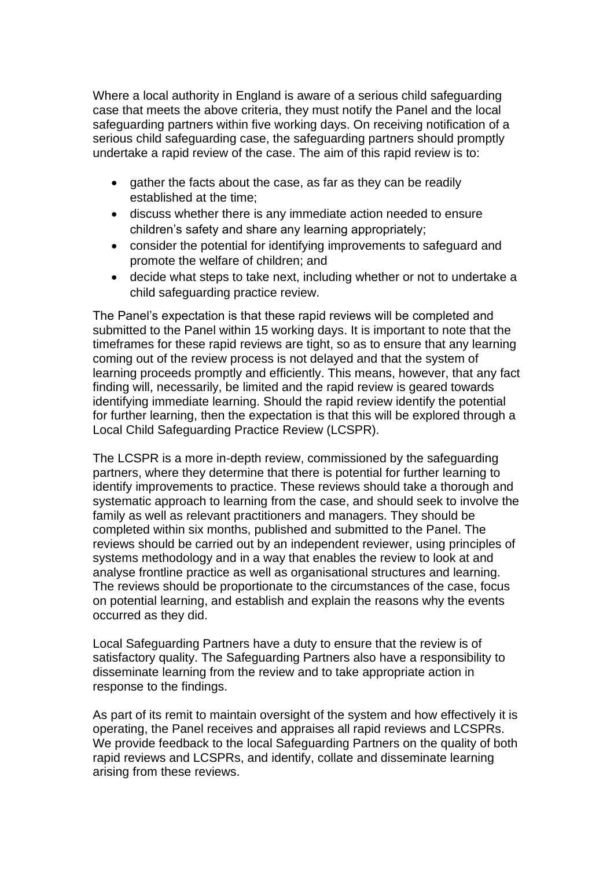Where a local authority in England is aware of a serious child safeguarding case that meets the above criteria, they must notify the Panel and the local safeguarding partners within five working days. On receiving notification of a serious child safeguarding case, the safeguarding partners should promptly undertake a rapid review of the case. The aim of this rapid review is to:

- gather the facts about the case, as far as they can be readily established at the time;
- discuss whether there is any immediate action needed to ensure children's safety and share any learning appropriately;
- consider the potential for identifying improvements to safeguard and promote the welfare of children; and
- decide what steps to take next, including whether or not to undertake a child safeguarding practice review.

The Panel's expectation is that these rapid reviews will be completed and submitted to the Panel within 15 working days. It is important to note that the timeframes for these rapid reviews are tight, so as to ensure that any learning coming out of the review process is not delayed and that the system of learning proceeds promptly and efficiently. This means, however, that any fact finding will, necessarily, be limited and the rapid review is geared towards identifying immediate learning. Should the rapid review identify the potential for further learning, then the expectation is that this will be explored through a Local Child Safeguarding Practice Review (LCSPR).

The LCSPR is a more in-depth review, commissioned by the safeguarding partners, where they determine that there is potential for further learning to identify improvements to practice. These reviews should take a thorough and systematic approach to learning from the case, and should seek to involve the family as well as relevant practitioners and managers. They should be completed within six months, published and submitted to the Panel. The reviews should be carried out by an independent reviewer, using principles of systems methodology and in a way that enables the review to look at and analyse frontline practice as well as organisational structures and learning. The reviews should be proportionate to the circumstances of the case, focus on potential learning, and establish and explain the reasons why the events occurred as they did.

Local Safeguarding Partners have a duty to ensure that the review is of satisfactory quality. The Safeguarding Partners also have a responsibility to disseminate learning from the review and to take appropriate action in response to the findings.

As part of its remit to maintain oversight of the system and how effectively it is operating, the Panel receives and appraises all rapid reviews and LCSPRs. We provide feedback to the local Safeguarding Partners on the quality of both rapid reviews and LCSPRs, and identify, collate and disseminate learning arising from these reviews.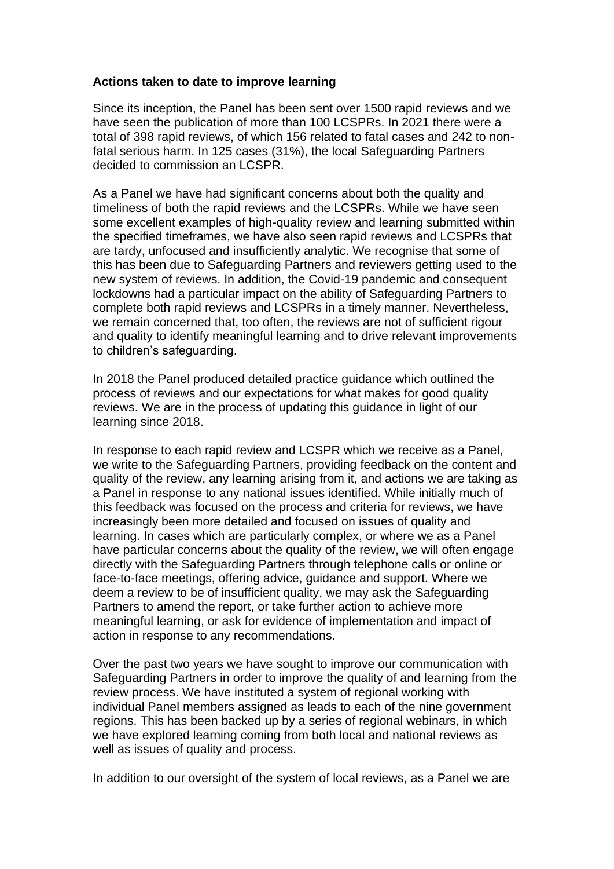## **Actions taken to date to improve learning**

Since its inception, the Panel has been sent over 1500 rapid reviews and we have seen the publication of more than 100 LCSPRs. In 2021 there were a total of 398 rapid reviews, of which 156 related to fatal cases and 242 to nonfatal serious harm. In 125 cases (31%), the local Safeguarding Partners decided to commission an LCSPR.

As a Panel we have had significant concerns about both the quality and timeliness of both the rapid reviews and the LCSPRs. While we have seen some excellent examples of high-quality review and learning submitted within the specified timeframes, we have also seen rapid reviews and LCSPRs that are tardy, unfocused and insufficiently analytic. We recognise that some of this has been due to Safeguarding Partners and reviewers getting used to the new system of reviews. In addition, the Covid-19 pandemic and consequent lockdowns had a particular impact on the ability of Safeguarding Partners to complete both rapid reviews and LCSPRs in a timely manner. Nevertheless, we remain concerned that, too often, the reviews are not of sufficient rigour and quality to identify meaningful learning and to drive relevant improvements to children's safeguarding.

In 2018 the Panel produced detailed practice guidance which outlined the process of reviews and our expectations for what makes for good quality reviews. We are in the process of updating this guidance in light of our learning since 2018.

In response to each rapid review and LCSPR which we receive as a Panel, we write to the Safeguarding Partners, providing feedback on the content and quality of the review, any learning arising from it, and actions we are taking as a Panel in response to any national issues identified. While initially much of this feedback was focused on the process and criteria for reviews, we have increasingly been more detailed and focused on issues of quality and learning. In cases which are particularly complex, or where we as a Panel have particular concerns about the quality of the review, we will often engage directly with the Safeguarding Partners through telephone calls or online or face-to-face meetings, offering advice, guidance and support. Where we deem a review to be of insufficient quality, we may ask the Safeguarding Partners to amend the report, or take further action to achieve more meaningful learning, or ask for evidence of implementation and impact of action in response to any recommendations.

Over the past two years we have sought to improve our communication with Safeguarding Partners in order to improve the quality of and learning from the review process. We have instituted a system of regional working with individual Panel members assigned as leads to each of the nine government regions. This has been backed up by a series of regional webinars, in which we have explored learning coming from both local and national reviews as well as issues of quality and process.

In addition to our oversight of the system of local reviews, as a Panel we are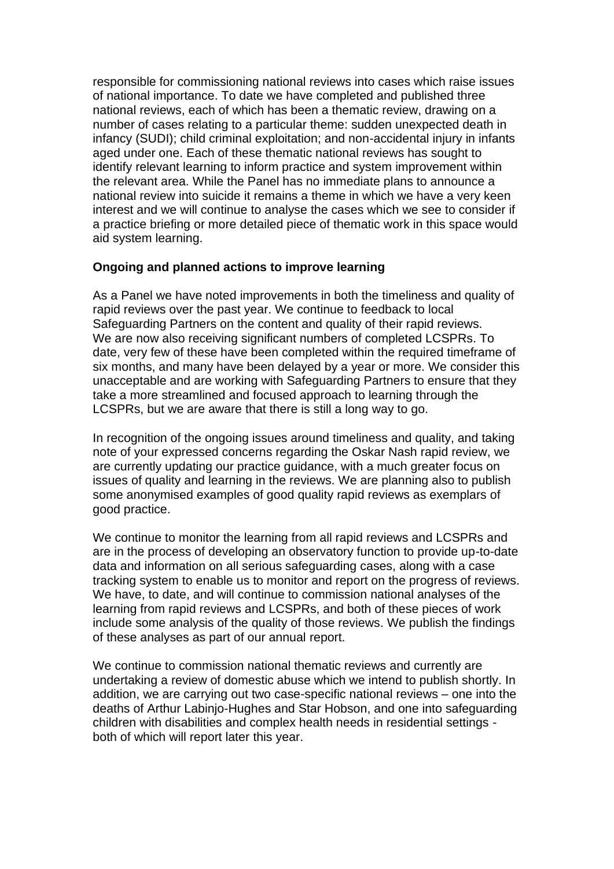responsible for commissioning national reviews into cases which raise issues of national importance. To date we have completed and published three national reviews, each of which has been a thematic review, drawing on a number of cases relating to a particular theme: sudden unexpected death in infancy (SUDI); child criminal exploitation; and non-accidental injury in infants aged under one. Each of these thematic national reviews has sought to identify relevant learning to inform practice and system improvement within the relevant area. While the Panel has no immediate plans to announce a national review into suicide it remains a theme in which we have a very keen interest and we will continue to analyse the cases which we see to consider if a practice briefing or more detailed piece of thematic work in this space would aid system learning.

## **Ongoing and planned actions to improve learning**

As a Panel we have noted improvements in both the timeliness and quality of rapid reviews over the past year. We continue to feedback to local Safeguarding Partners on the content and quality of their rapid reviews. We are now also receiving significant numbers of completed LCSPRs. To date, very few of these have been completed within the required timeframe of six months, and many have been delayed by a year or more. We consider this unacceptable and are working with Safeguarding Partners to ensure that they take a more streamlined and focused approach to learning through the LCSPRs, but we are aware that there is still a long way to go.

In recognition of the ongoing issues around timeliness and quality, and taking note of your expressed concerns regarding the Oskar Nash rapid review, we are currently updating our practice guidance, with a much greater focus on issues of quality and learning in the reviews. We are planning also to publish some anonymised examples of good quality rapid reviews as exemplars of good practice.

We continue to monitor the learning from all rapid reviews and LCSPRs and are in the process of developing an observatory function to provide up-to-date data and information on all serious safeguarding cases, along with a case tracking system to enable us to monitor and report on the progress of reviews. We have, to date, and will continue to commission national analyses of the learning from rapid reviews and LCSPRs, and both of these pieces of work include some analysis of the quality of those reviews. We publish the findings of these analyses as part of our annual report.

We continue to commission national thematic reviews and currently are undertaking a review of domestic abuse which we intend to publish shortly. In addition, we are carrying out two case-specific national reviews – one into the deaths of Arthur Labinjo-Hughes and Star Hobson, and one into safeguarding children with disabilities and complex health needs in residential settings both of which will report later this year.